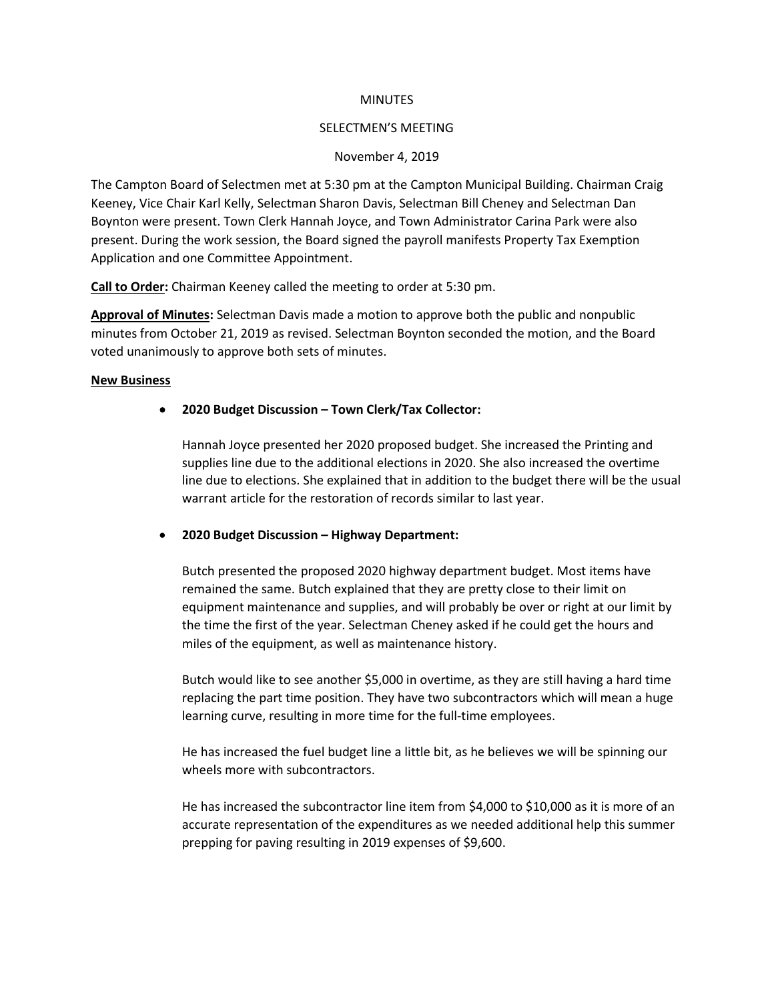#### **MINUTES**

#### SELECTMEN'S MEETING

## November 4, 2019

The Campton Board of Selectmen met at 5:30 pm at the Campton Municipal Building. Chairman Craig Keeney, Vice Chair Karl Kelly, Selectman Sharon Davis, Selectman Bill Cheney and Selectman Dan Boynton were present. Town Clerk Hannah Joyce, and Town Administrator Carina Park were also present. During the work session, the Board signed the payroll manifests Property Tax Exemption Application and one Committee Appointment.

**Call to Order:** Chairman Keeney called the meeting to order at 5:30 pm.

**Approval of Minutes:** Selectman Davis made a motion to approve both the public and nonpublic minutes from October 21, 2019 as revised. Selectman Boynton seconded the motion, and the Board voted unanimously to approve both sets of minutes.

## **New Business**

# • **2020 Budget Discussion – Town Clerk/Tax Collector:**

Hannah Joyce presented her 2020 proposed budget. She increased the Printing and supplies line due to the additional elections in 2020. She also increased the overtime line due to elections. She explained that in addition to the budget there will be the usual warrant article for the restoration of records similar to last year.

## • **2020 Budget Discussion – Highway Department:**

Butch presented the proposed 2020 highway department budget. Most items have remained the same. Butch explained that they are pretty close to their limit on equipment maintenance and supplies, and will probably be over or right at our limit by the time the first of the year. Selectman Cheney asked if he could get the hours and miles of the equipment, as well as maintenance history.

Butch would like to see another \$5,000 in overtime, as they are still having a hard time replacing the part time position. They have two subcontractors which will mean a huge learning curve, resulting in more time for the full-time employees.

He has increased the fuel budget line a little bit, as he believes we will be spinning our wheels more with subcontractors.

He has increased the subcontractor line item from \$4,000 to \$10,000 as it is more of an accurate representation of the expenditures as we needed additional help this summer prepping for paving resulting in 2019 expenses of \$9,600.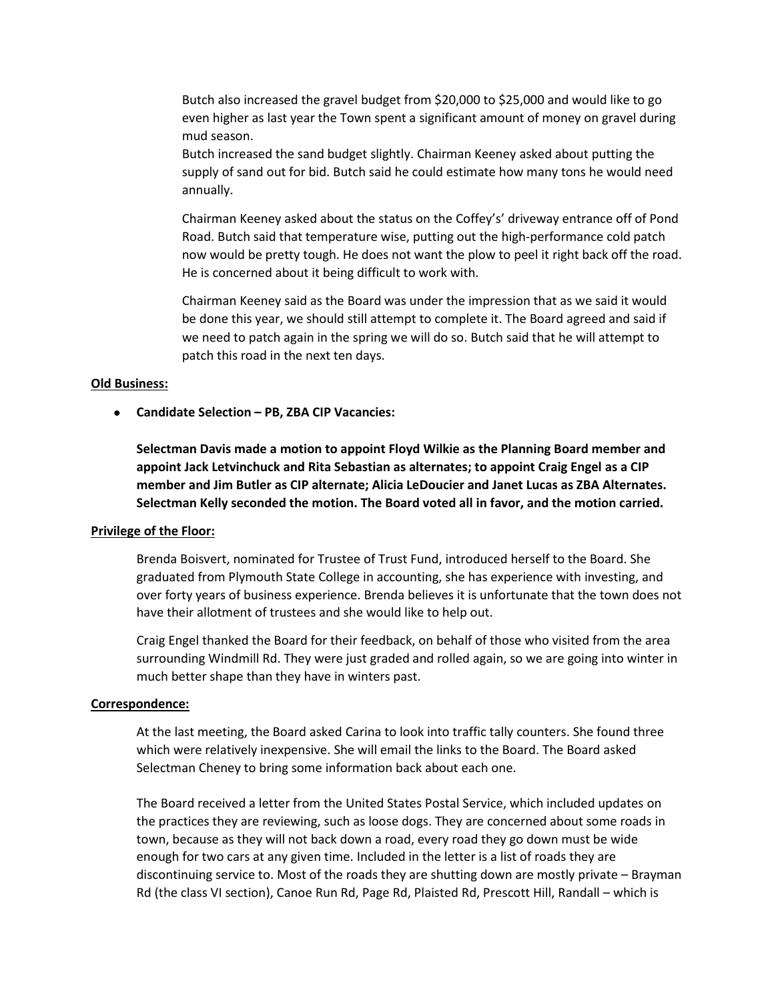Butch also increased the gravel budget from \$20,000 to \$25,000 and would like to go even higher as last year the Town spent a significant amount of money on gravel during mud season.

Butch increased the sand budget slightly. Chairman Keeney asked about putting the supply of sand out for bid. Butch said he could estimate how many tons he would need annually.

Chairman Keeney asked about the status on the Coffey's' driveway entrance off of Pond Road. Butch said that temperature wise, putting out the high-performance cold patch now would be pretty tough. He does not want the plow to peel it right back off the road. He is concerned about it being difficult to work with.

Chairman Keeney said as the Board was under the impression that as we said it would be done this year, we should still attempt to complete it. The Board agreed and said if we need to patch again in the spring we will do so. Butch said that he will attempt to patch this road in the next ten days.

#### **Old Business:**

• **Candidate Selection – PB, ZBA CIP Vacancies:**

**Selectman Davis made a motion to appoint Floyd Wilkie as the Planning Board member and appoint Jack Letvinchuck and Rita Sebastian as alternates; to appoint Craig Engel as a CIP member and Jim Butler as CIP alternate; Alicia LeDoucier and Janet Lucas as ZBA Alternates. Selectman Kelly seconded the motion. The Board voted all in favor, and the motion carried.**

# **Privilege of the Floor:**

Brenda Boisvert, nominated for Trustee of Trust Fund, introduced herself to the Board. She graduated from Plymouth State College in accounting, she has experience with investing, and over forty years of business experience. Brenda believes it is unfortunate that the town does not have their allotment of trustees and she would like to help out.

Craig Engel thanked the Board for their feedback, on behalf of those who visited from the area surrounding Windmill Rd. They were just graded and rolled again, so we are going into winter in much better shape than they have in winters past.

## **Correspondence:**

At the last meeting, the Board asked Carina to look into traffic tally counters. She found three which were relatively inexpensive. She will email the links to the Board. The Board asked Selectman Cheney to bring some information back about each one.

The Board received a letter from the United States Postal Service, which included updates on the practices they are reviewing, such as loose dogs. They are concerned about some roads in town, because as they will not back down a road, every road they go down must be wide enough for two cars at any given time. Included in the letter is a list of roads they are discontinuing service to. Most of the roads they are shutting down are mostly private – Brayman Rd (the class VI section), Canoe Run Rd, Page Rd, Plaisted Rd, Prescott Hill, Randall – which is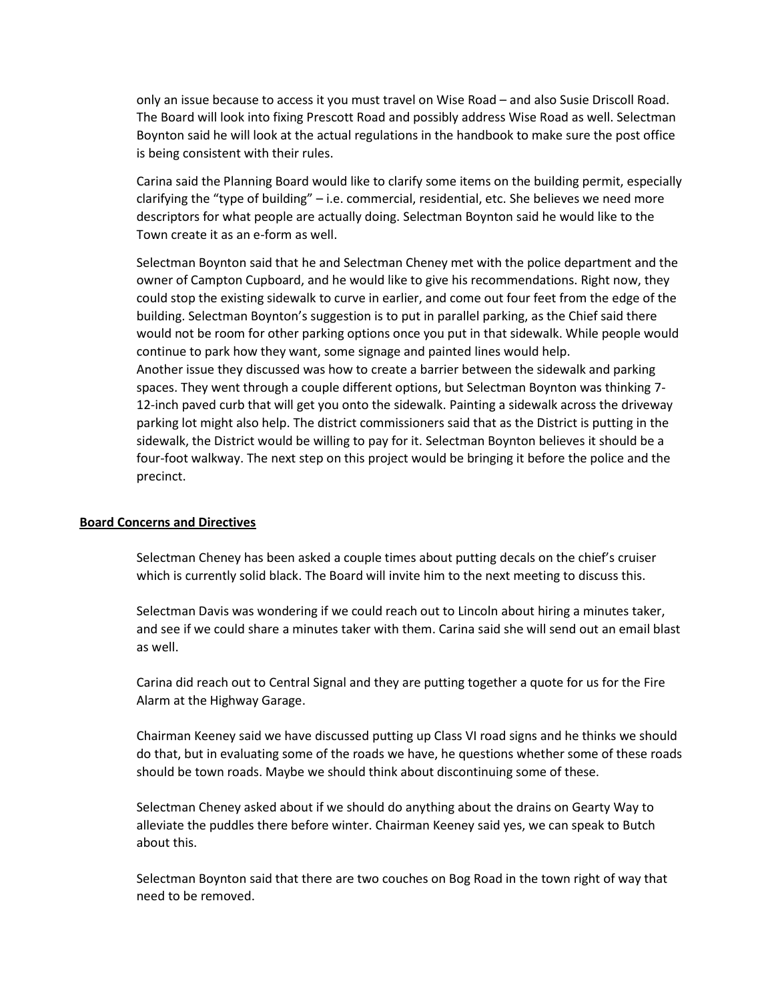only an issue because to access it you must travel on Wise Road – and also Susie Driscoll Road. The Board will look into fixing Prescott Road and possibly address Wise Road as well. Selectman Boynton said he will look at the actual regulations in the handbook to make sure the post office is being consistent with their rules.

Carina said the Planning Board would like to clarify some items on the building permit, especially clarifying the "type of building" – i.e. commercial, residential, etc. She believes we need more descriptors for what people are actually doing. Selectman Boynton said he would like to the Town create it as an e-form as well.

Selectman Boynton said that he and Selectman Cheney met with the police department and the owner of Campton Cupboard, and he would like to give his recommendations. Right now, they could stop the existing sidewalk to curve in earlier, and come out four feet from the edge of the building. Selectman Boynton's suggestion is to put in parallel parking, as the Chief said there would not be room for other parking options once you put in that sidewalk. While people would continue to park how they want, some signage and painted lines would help. Another issue they discussed was how to create a barrier between the sidewalk and parking spaces. They went through a couple different options, but Selectman Boynton was thinking 7- 12-inch paved curb that will get you onto the sidewalk. Painting a sidewalk across the driveway parking lot might also help. The district commissioners said that as the District is putting in the sidewalk, the District would be willing to pay for it. Selectman Boynton believes it should be a four-foot walkway. The next step on this project would be bringing it before the police and the precinct.

## **Board Concerns and Directives**

Selectman Cheney has been asked a couple times about putting decals on the chief's cruiser which is currently solid black. The Board will invite him to the next meeting to discuss this.

Selectman Davis was wondering if we could reach out to Lincoln about hiring a minutes taker, and see if we could share a minutes taker with them. Carina said she will send out an email blast as well.

Carina did reach out to Central Signal and they are putting together a quote for us for the Fire Alarm at the Highway Garage.

Chairman Keeney said we have discussed putting up Class VI road signs and he thinks we should do that, but in evaluating some of the roads we have, he questions whether some of these roads should be town roads. Maybe we should think about discontinuing some of these.

Selectman Cheney asked about if we should do anything about the drains on Gearty Way to alleviate the puddles there before winter. Chairman Keeney said yes, we can speak to Butch about this.

Selectman Boynton said that there are two couches on Bog Road in the town right of way that need to be removed.